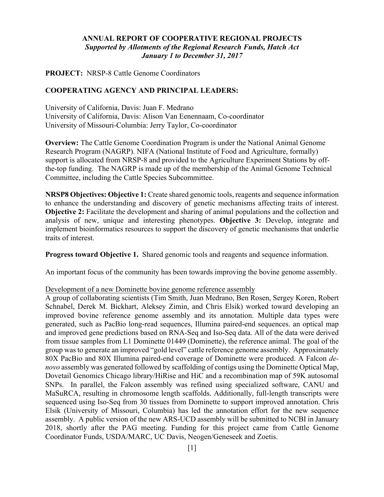# **ANNUAL REPORT OF COOPERATIVE REGIONAL PROJECTS** *Supported by Allotments of the Regional Research Funds, Hatch Act January 1 to December 31, 2017*

**PROJECT:** NRSP-8 Cattle Genome Coordinators

#### **COOPERATING AGENCY AND PRINCIPAL LEADERS:**

University of California, Davis: Juan F. Medrano University of California, Davis: Alison Van Eenennaam, Co-coordinator University of Missouri-Columbia: Jerry Taylor, Co-coordinator

**Overview:** The Cattle Genome Coordination Program is under the National Animal Genome Research Program (NAGRP). NIFA (National Institute of Food and Agriculture, formally) support is allocated from NRSP-8 and provided to the Agriculture Experiment Stations by offthe-top funding. The NAGRP is made up of the membership of the Animal Genome Technical Committee, including the Cattle Species Subcommittee.

**NRSP8 Objectives: Objective 1:** Create shared genomic tools, reagents and sequence information to enhance the understanding and discovery of genetic mechanisms affecting traits of interest. **Objective 2:** Facilitate the development and sharing of animal populations and the collection and analysis of new, unique and interesting phenotypes. **Objective 3:** Develop, integrate and implement bioinformatics resources to support the discovery of genetic mechanisms that underlie traits of interest.

**Progress toward Objective 1.** Shared genomic tools and reagents and sequence information.

An important focus of the community has been towards improving the bovine genome assembly.

#### Development of a new Dominette bovine genome reference assembly

A group of collaborating scientists (Tim Smith, Juan Medrano, Ben Rosen, Sergey Koren, Robert Schnabel, Derek M. Bickhart, Aleksey Zimin, and Chris Elsik) worked toward developing an improved bovine reference genome assembly and its annotation. Multiple data types were generated, such as PacBio long-read sequences, Illumina paired-end sequences. an optical map and improved gene predictions based on RNA-Seq and Iso-Seq data. All of the data were derived from tissue samples from L1 Dominette 01449 (Dominette), the reference animal. The goal of the group wasto generate an improved "gold level" cattle reference genome assembly. Approximately 80X PacBio and 80X Illumina paired-end coverage of Dominette were produced. A Falcon *denovo* assembly was generated followed by scaffolding of contigs using the Dominette Optical Map, Dovetail Genomics Chicago library/HiRise and HiC and a recombination map of 59K autosomal SNPs. In parallel, the Falcon assembly was refined using specialized software, CANU and MaSuRCA, resulting in chromosome length scaffolds. Additionally, full-length transcripts were sequenced using Iso-Seq from 30 tissues from Dominette to support improved annotation. Chris Elsik (University of Missouri, Columbia) has led the annotation effort for the new sequence assembly. A public version of the new ARS-UCD assembly will be submitted to NCBI in January 2018, shortly after the PAG meeting. Funding for this project came from Cattle Genome Coordinator Funds, USDA/MARC, UC Davis, Neogen/Geneseek and Zoetis.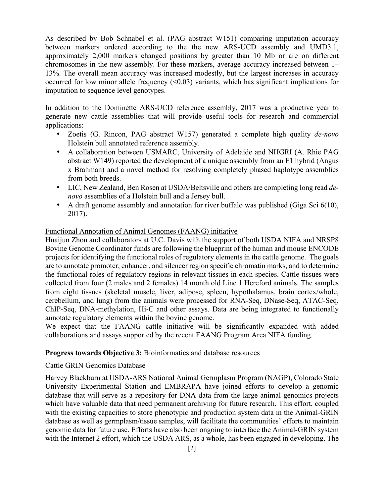As described by Bob Schnabel et al. (PAG abstract W151) comparing imputation accuracy between markers ordered according to the the new ARS-UCD assembly and UMD3.1, approximately 2,000 markers changed positions by greater than 10 Mb or are on different chromosomes in the new assembly. For these markers, average accuracy increased between 1– 13%. The overall mean accuracy was increased modestly, but the largest increases in accuracy occurred for low minor allele frequency  $(\leq 0.03)$  variants, which has significant implications for imputation to sequence level genotypes.

In addition to the Dominette ARS-UCD reference assembly, 2017 was a productive year to generate new cattle assemblies that will provide useful tools for research and commercial applications:

- Zoetis (G. Rincon, PAG abstract W157) generated a complete high quality *de-novo* Holstein bull annotated reference assembly.
- A collaboration between USMARC, University of Adelaide and NHGRI (A. Rhie PAG abstract W149) reported the development of a unique assembly from an F1 hybrid (Angus x Brahman) and a novel method for resolving completely phased haplotype assemblies from both breeds.
- LIC, New Zealand, Ben Rosen at USDA/Beltsville and others are completing long read *denovo* assemblies of a Holstein bull and a Jersey bull.
- A draft genome assembly and annotation for river buffalo was published (Giga Sci 6(10), 2017).

# Functional Annotation of Animal Genomes (FAANG) initiative

Huaijun Zhou and collaborators at U.C. Davis with the support of both USDA NIFA and NRSP8 Bovine Genome Coordinator funds are following the blueprint of the human and mouse ENCODE projects for identifying the functional roles of regulatory elements in the cattle genome. The goals are to annotate promoter, enhancer, and silencer region specific chromatin marks, and to determine the functional roles of regulatory regions in relevant tissues in each species. Cattle tissues were collected from four (2 males and 2 females) 14 month old Line 1 Hereford animals. The samples from eight tissues (skeletal muscle, liver, adipose, spleen, hypothalamus, brain cortex/whole, cerebellum, and lung) from the animals were processed for RNA-Seq, DNase-Seq, ATAC-Seq, ChIP-Seq, DNA-methylation, Hi-C and other assays. Data are being integrated to functionally annotate regulatory elements within the bovine genome.

We expect that the FAANG cattle initiative will be significantly expanded with added collaborations and assays supported by the recent FAANG Program Area NIFA funding.

# **Progress towards Objective 3:** Bioinformatics and database resources

# Cattle GRIN Genomics Database

Harvey Blackburn at USDA-ARS National Animal Germplasm Program (NAGP), Colorado State University Experimental Station and EMBRAPA have joined efforts to develop a genomic database that will serve as a repository for DNA data from the large animal genomics projects which have valuable data that need permanent archiving for future research. This effort, coupled with the existing capacities to store phenotypic and production system data in the Animal-GRIN database as well as germplasm/tissue samples, will facilitate the communities' efforts to maintain genomic data for future use. Efforts have also been ongoing to interface the Animal-GRIN system with the Internet 2 effort, which the USDA ARS, as a whole, has been engaged in developing. The